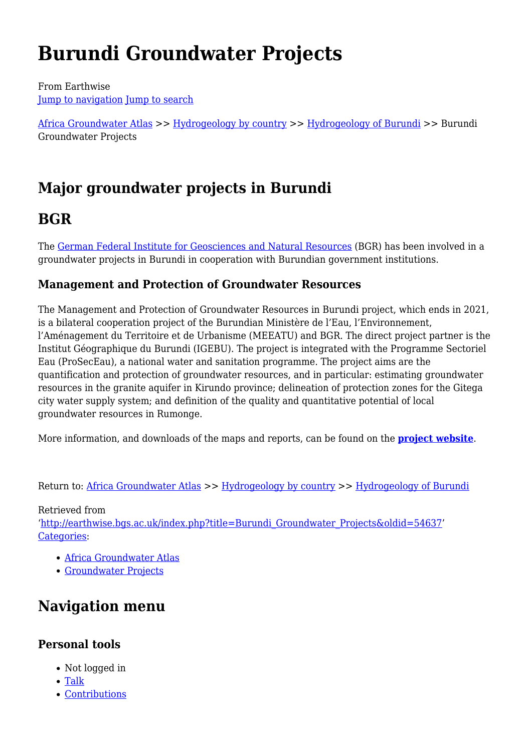# **Burundi Groundwater Projects**

From Earthwise [Jump to navigation](#page--1-0) [Jump to search](#page--1-0)

[Africa Groundwater Atlas](http://earthwise.bgs.ac.uk/index.php/Africa_Groundwater_Atlas_Home) >> [Hydrogeology by country](http://earthwise.bgs.ac.uk/index.php/Hydrogeology_by_country) >> [Hydrogeology of Burundi](http://earthwise.bgs.ac.uk/index.php/Hydrogeology_of_Burundi) >> Burundi Groundwater Projects

# **Major groundwater projects in Burundi**

# **BGR**

The [German Federal Institute for Geosciences and Natural Resources](https://www.bgr.bund.de/EN/Themen/Wasser/wasser_node_en.html) (BGR) has been involved in a groundwater projects in Burundi in cooperation with Burundian government institutions.

## **Management and Protection of Groundwater Resources**

The Management and Protection of Groundwater Resources in Burundi project, which ends in 2021, is a bilateral cooperation project of the Burundian Ministère de l'Eau, l'Environnement, l'Aménagement du Territoire et de Urbanisme (MEEATU) and BGR. The direct project partner is the Institut Géographique du Burundi (IGEBU). The project is integrated with the Programme Sectoriel Eau (ProSecEau), a national water and sanitation programme. The project aims are the quantification and protection of groundwater resources, and in particular: estimating groundwater resources in the granite aquifer in Kirundo province; delineation of protection zones for the Gitega city water supply system; and definition of the quality and quantitative potential of local groundwater resources in Rumonge.

More information, and downloads of the maps and reports, can be found on the **[project website](https://www.deutscher-rohstoffeffizienz-preis.de/EN/Themen/Wasser/Projekte/laufend/TZ/Burundi/burundi_fb_en.html?nn=1546392)**.

Return to: [Africa Groundwater Atlas](http://earthwise.bgs.ac.uk/index.php/Africa_Groundwater_Atlas_Home) >> [Hydrogeology by country](http://earthwise.bgs.ac.uk/index.php/Hydrogeology_by_country) >> [Hydrogeology of Burundi](http://earthwise.bgs.ac.uk/index.php/Hydrogeology_of_Burundi)

Retrieved from '[http://earthwise.bgs.ac.uk/index.php?title=Burundi\\_Groundwater\\_Projects&oldid=54637'](http://earthwise.bgs.ac.uk/index.php?title=Burundi_Groundwater_Projects&oldid=54637) [Categories:](http://earthwise.bgs.ac.uk/index.php/Special:Categories)

- [Africa Groundwater Atlas](http://earthwise.bgs.ac.uk/index.php/Category:Africa_Groundwater_Atlas)
- [Groundwater Projects](http://earthwise.bgs.ac.uk/index.php/Category:Groundwater_Projects)

# **Navigation menu**

### **Personal tools**

- Not logged in
- [Talk](http://earthwise.bgs.ac.uk/index.php/Special:MyTalk)
- [Contributions](http://earthwise.bgs.ac.uk/index.php/Special:MyContributions)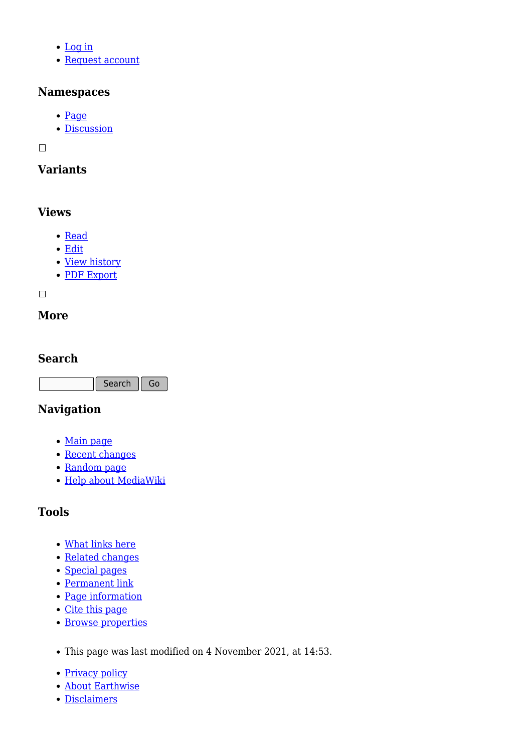- [Log in](http://earthwise.bgs.ac.uk/index.php?title=Special:UserLogin&returnto=Burundi+Groundwater+Projects&returntoquery=action%3Dmpdf)
- [Request account](http://earthwise.bgs.ac.uk/index.php/Special:RequestAccount)

#### **Namespaces**

- [Page](http://earthwise.bgs.ac.uk/index.php/Burundi_Groundwater_Projects)
- [Discussion](http://earthwise.bgs.ac.uk/index.php?title=Talk:Burundi_Groundwater_Projects&action=edit&redlink=1)

 $\overline{\phantom{a}}$ 

## **Variants**

### **Views**

- [Read](http://earthwise.bgs.ac.uk/index.php/Burundi_Groundwater_Projects)
- [Edit](http://earthwise.bgs.ac.uk/index.php?title=Burundi_Groundwater_Projects&action=edit)
- [View history](http://earthwise.bgs.ac.uk/index.php?title=Burundi_Groundwater_Projects&action=history)
- [PDF Export](http://earthwise.bgs.ac.uk/index.php?title=Burundi_Groundwater_Projects&action=mpdf)

 $\Box$ 

### **More**

#### **Search**

Search  $\|$  Go

## **Navigation**

- [Main page](http://earthwise.bgs.ac.uk/index.php/Main_Page)
- [Recent changes](http://earthwise.bgs.ac.uk/index.php/Special:RecentChanges)
- [Random page](http://earthwise.bgs.ac.uk/index.php/Special:Random)
- [Help about MediaWiki](https://www.mediawiki.org/wiki/Special:MyLanguage/Help:Contents)

# **Tools**

- [What links here](http://earthwise.bgs.ac.uk/index.php/Special:WhatLinksHere/Burundi_Groundwater_Projects)
- [Related changes](http://earthwise.bgs.ac.uk/index.php/Special:RecentChangesLinked/Burundi_Groundwater_Projects)
- [Special pages](http://earthwise.bgs.ac.uk/index.php/Special:SpecialPages)
- [Permanent link](http://earthwise.bgs.ac.uk/index.php?title=Burundi_Groundwater_Projects&oldid=54637)
- [Page information](http://earthwise.bgs.ac.uk/index.php?title=Burundi_Groundwater_Projects&action=info)
- [Cite this page](http://earthwise.bgs.ac.uk/index.php?title=Special:CiteThisPage&page=Burundi_Groundwater_Projects&id=54637)
- [Browse properties](http://earthwise.bgs.ac.uk/index.php/Special:Browse/:Burundi-5FGroundwater-5FProjects)
- This page was last modified on 4 November 2021, at 14:53.
- [Privacy policy](http://earthwise.bgs.ac.uk/index.php/Earthwise:Privacy_policy)
- [About Earthwise](http://earthwise.bgs.ac.uk/index.php/Earthwise:About)
- [Disclaimers](http://earthwise.bgs.ac.uk/index.php/Earthwise:General_disclaimer)